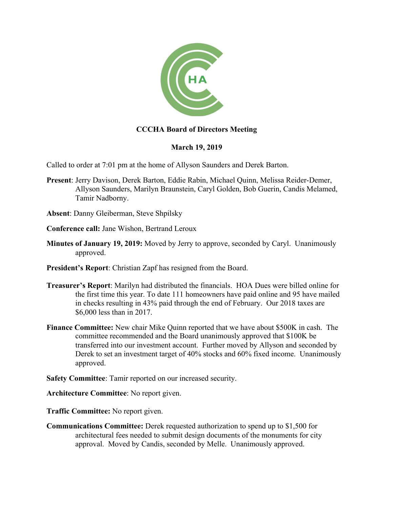

## **CCCHA Board of Directors Meeting**

## **March 19, 2019**

Called to order at 7:01 pm at the home of Allyson Saunders and Derek Barton.

- **Present**: Jerry Davison, Derek Barton, Eddie Rabin, Michael Quinn, Melissa Reider-Demer, Allyson Saunders, Marilyn Braunstein, Caryl Golden, Bob Guerin, Candis Melamed, Tamir Nadborny.
- **Absent**: Danny Gleiberman, Steve Shpilsky
- **Conference call:** Jane Wishon, Bertrand Leroux
- **Minutes of January 19, 2019:** Moved by Jerry to approve, seconded by Caryl. Unanimously approved.
- **President's Report**: Christian Zapf has resigned from the Board.
- **Treasurer's Report**: Marilyn had distributed the financials. HOA Dues were billed online for the first time this year. To date 111 homeowners have paid online and 95 have mailed in checks resulting in 43% paid through the end of February. Our 2018 taxes are \$6,000 less than in 2017.
- **Finance Committee:** New chair Mike Quinn reported that we have about \$500K in cash. The committee recommended and the Board unanimously approved that \$100K be transferred into our investment account. Further moved by Allyson and seconded by Derek to set an investment target of 40% stocks and 60% fixed income. Unanimously approved.
- **Safety Committee**: Tamir reported on our increased security.

**Architecture Committee**: No report given.

**Traffic Committee:** No report given.

**Communications Committee:** Derek requested authorization to spend up to \$1,500 for architectural fees needed to submit design documents of the monuments for city approval. Moved by Candis, seconded by Melle. Unanimously approved.